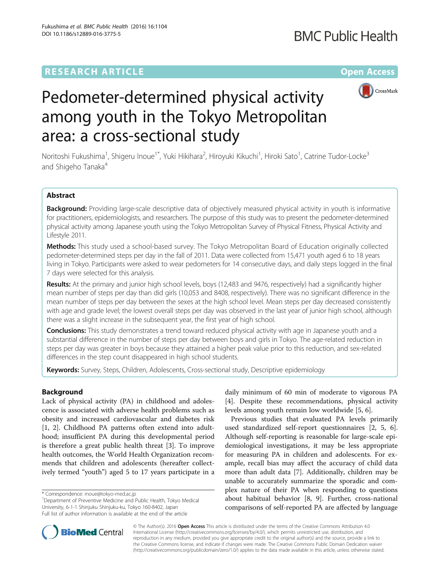### **RESEARCH ARTICLE Example 2014 12:30 The Contract of Contract ACCESS**



# Pedometer-determined physical activity among youth in the Tokyo Metropolitan area: a cross-sectional study

Noritoshi Fukushima<sup>1</sup>, Shigeru Inoue<sup>1\*</sup>, Yuki Hikihara<sup>2</sup>, Hiroyuki Kikuchi<sup>1</sup>, Hiroki Sato<sup>1</sup>, Catrine Tudor-Locke<sup>3</sup> and Shigeho Tanaka<sup>4</sup>

#### Abstract

Background: Providing large-scale descriptive data of objectively measured physical activity in youth is informative for practitioners, epidemiologists, and researchers. The purpose of this study was to present the pedometer-determined physical activity among Japanese youth using the Tokyo Metropolitan Survey of Physical Fitness, Physical Activity and Lifestyle 2011.

Methods: This study used a school-based survey. The Tokyo Metropolitan Board of Education originally collected pedometer-determined steps per day in the fall of 2011. Data were collected from 15,471 youth aged 6 to 18 years living in Tokyo. Participants were asked to wear pedometers for 14 consecutive days, and daily steps logged in the final 7 days were selected for this analysis.

Results: At the primary and junior high school levels, boys (12,483 and 9476, respectively) had a significantly higher mean number of steps per day than did girls (10,053 and 8408, respectively). There was no significant difference in the mean number of steps per day between the sexes at the high school level. Mean steps per day decreased consistently with age and grade level; the lowest overall steps per day was observed in the last year of junior high school, although there was a slight increase in the subsequent year, the first year of high school.

**Conclusions:** This study demonstrates a trend toward reduced physical activity with age in Japanese youth and a substantial difference in the number of steps per day between boys and girls in Tokyo. The age-related reduction in steps per day was greater in boys because they attained a higher peak value prior to this reduction, and sex-related differences in the step count disappeared in high school students.

Keywords: Survey, Steps, Children, Adolescents, Cross-sectional study, Descriptive epidemiology

#### Background

Lack of physical activity (PA) in childhood and adolescence is associated with adverse health problems such as obesity and increased cardiovascular and diabetes risk [[1, 2](#page-10-0)]. Childhood PA patterns often extend into adulthood; insufficient PA during this developmental period is therefore a great public health threat [[3\]](#page-10-0). To improve health outcomes, the World Health Organization recommends that children and adolescents (hereafter collectively termed "youth") aged 5 to 17 years participate in a

\* Correspondence: [inoue@tokyo-med.ac.jp](mailto:inoue@tokyo-med.ac.jp) <sup>1</sup>

daily minimum of 60 min of moderate to vigorous PA [[4\]](#page-10-0). Despite these recommendations, physical activity levels among youth remain low worldwide [[5](#page-10-0), [6](#page-10-0)].

Previous studies that evaluated PA levels primarily used standardized self-report questionnaires [[2, 5](#page-10-0), [6](#page-10-0)]. Although self-reporting is reasonable for large-scale epidemiological investigations, it may be less appropriate for measuring PA in children and adolescents. For example, recall bias may affect the accuracy of child data more than adult data [[7\]](#page-10-0). Additionally, children may be unable to accurately summarize the sporadic and complex nature of their PA when responding to questions about habitual behavior [\[8](#page-10-0), [9\]](#page-10-0). Further, cross-national comparisons of self-reported PA are affected by language



© The Author(s). 2016 Open Access This article is distributed under the terms of the Creative Commons Attribution 4.0 International License [\(http://creativecommons.org/licenses/by/4.0/](http://creativecommons.org/licenses/by/4.0/)), which permits unrestricted use, distribution, and reproduction in any medium, provided you give appropriate credit to the original author(s) and the source, provide a link to the Creative Commons license, and indicate if changes were made. The Creative Commons Public Domain Dedication waiver [\(http://creativecommons.org/publicdomain/zero/1.0/](http://creativecommons.org/publicdomain/zero/1.0/)) applies to the data made available in this article, unless otherwise stated.

<sup>&</sup>lt;sup>1</sup>Department of Preventive Medicine and Public Health, Tokyo Medical University, 6-1-1 Shinjuku Shinjuku-ku, Tokyo 160-8402, Japan Full list of author information is available at the end of the article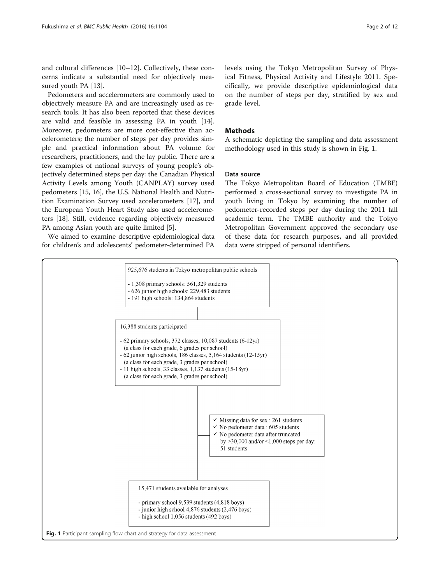and cultural differences [\[10](#page-10-0)–[12\]](#page-10-0). Collectively, these concerns indicate a substantial need for objectively measured youth PA [\[13](#page-10-0)].

Pedometers and accelerometers are commonly used to objectively measure PA and are increasingly used as research tools. It has also been reported that these devices are valid and feasible in assessing PA in youth [\[14](#page-10-0)]. Moreover, pedometers are more cost-effective than accelerometers; the number of steps per day provides simple and practical information about PA volume for researchers, practitioners, and the lay public. There are a few examples of national surveys of young people's objectively determined steps per day: the Canadian Physical Activity Levels among Youth (CANPLAY) survey used pedometers [\[15](#page-10-0), [16](#page-11-0)], the U.S. National Health and Nutrition Examination Survey used accelerometers [\[17\]](#page-11-0), and the European Youth Heart Study also used accelerometers [\[18\]](#page-11-0). Still, evidence regarding objectively measured PA among Asian youth are quite limited [[5](#page-10-0)].

We aimed to examine descriptive epidemiological data for children's and adolescents' pedometer-determined PA levels using the Tokyo Metropolitan Survey of Physical Fitness, Physical Activity and Lifestyle 2011. Specifically, we provide descriptive epidemiological data on the number of steps per day, stratified by sex and grade level.

#### Methods

A schematic depicting the sampling and data assessment methodology used in this study is shown in Fig. 1.

#### Data source

The Tokyo Metropolitan Board of Education (TMBE) performed a cross-sectional survey to investigate PA in youth living in Tokyo by examining the number of pedometer-recorded steps per day during the 2011 fall academic term. The TMBE authority and the Tokyo Metropolitan Government approved the secondary use of these data for research purposes, and all provided data were stripped of personal identifiers.

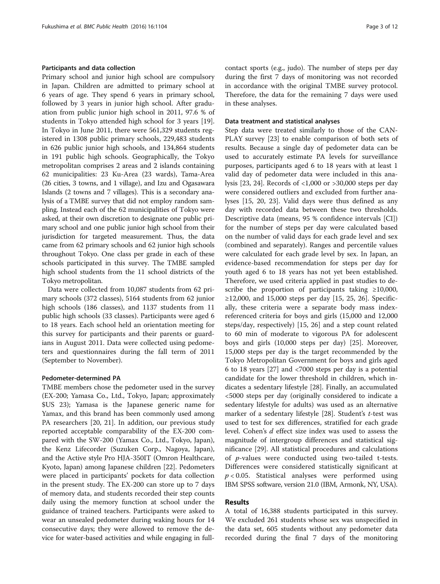#### Participants and data collection

Primary school and junior high school are compulsory in Japan. Children are admitted to primary school at 6 years of age. They spend 6 years in primary school, followed by 3 years in junior high school. After graduation from public junior high school in 2011, 97.6 % of students in Tokyo attended high school for 3 years [\[19](#page-11-0)]. In Tokyo in June 2011, there were 561,329 students registered in 1308 public primary schools, 229,483 students in 626 public junior high schools, and 134,864 students in 191 public high schools. Geographically, the Tokyo metropolitan comprises 2 areas and 2 islands containing 62 municipalities: 23 Ku-Area (23 wards), Tama-Area (26 cities, 3 towns, and 1 village), and Izu and Ogasawara Islands (2 towns and 7 villages). This is a secondary analysis of a TMBE survey that did not employ random sampling. Instead each of the 62 municipalities of Tokyo were asked, at their own discretion to designate one public primary school and one public junior high school from their jurisdiction for targeted measurement. Thus, the data came from 62 primary schools and 62 junior high schools throughout Tokyo. One class per grade in each of these schools participated in this survey. The TMBE sampled high school students from the 11 school districts of the Tokyo metropolitan.

Data were collected from 10,087 students from 62 primary schools (372 classes), 5164 students from 62 junior high schools (186 classes), and 1137 students from 11 public high schools (33 classes). Participants were aged 6 to 18 years. Each school held an orientation meeting for this survey for participants and their parents or guardians in August 2011. Data were collected using pedometers and questionnaires during the fall term of 2011 (September to November).

#### Pedometer-determined PA

TMBE members chose the pedometer used in the survey (EX-200; Yamasa Co., Ltd., Tokyo, Japan; approximately \$US 23); Yamasa is the Japanese generic name for Yamax, and this brand has been commonly used among PA researchers [\[20](#page-11-0), [21\]](#page-11-0). In addition, our previous study reported acceptable comparability of the EX-200 compared with the SW-200 (Yamax Co., Ltd., Tokyo, Japan), the Kenz Lifecorder (Suzuken Corp., Nagoya, Japan), and the Active style Pro HJA-350IT (Omron Healthcare, Kyoto, Japan) among Japanese children [\[22](#page-11-0)]. Pedometers were placed in participants' pockets for data collection in the present study. The EX-200 can store up to 7 days of memory data, and students recorded their step counts daily using the memory function at school under the guidance of trained teachers. Participants were asked to wear an unsealed pedometer during waking hours for 14 consecutive days; they were allowed to remove the device for water-based activities and while engaging in fullcontact sports (e.g., judo). The number of steps per day during the first 7 days of monitoring was not recorded in accordance with the original TMBE survey protocol. Therefore, the data for the remaining 7 days were used in these analyses.

#### Data treatment and statistical analyses

Step data were treated similarly to those of the CAN-PLAY survey [\[23](#page-11-0)] to enable comparison of both sets of results. Because a single day of pedometer data can be used to accurately estimate PA levels for surveillance purposes, participants aged 6 to 18 years with at least 1 valid day of pedometer data were included in this analysis [\[23, 24\]](#page-11-0). Records of <1,000 or >30,000 steps per day were considered outliers and excluded from further analyses [\[15](#page-10-0), [20, 23\]](#page-11-0). Valid days were thus defined as any day with recorded data between these two thresholds. Descriptive data (means, 95 % confidence intervals [CI]) for the number of steps per day were calculated based on the number of valid days for each grade level and sex (combined and separately). Ranges and percentile values were calculated for each grade level by sex. In Japan, an evidence-based recommendation for steps per day for youth aged 6 to 18 years has not yet been established. Therefore, we used criteria applied in past studies to describe the proportion of participants taking  $\geq 10,000$ , ≥12,000, and 15,000 steps per day [[15](#page-10-0), [25, 26\]](#page-11-0). Specifically, these criteria were a separate body mass indexreferenced criteria for boys and girls (15,000 and 12,000 steps/day, respectively) [[15](#page-10-0), [26\]](#page-11-0) and a step count related to 60 min of moderate to vigorous PA for adolescent boys and girls (10,000 steps per day) [[25](#page-11-0)]. Moreover, 15,000 steps per day is the target recommended by the Tokyo Metropolitan Government for boys and girls aged 6 to 18 years [[27\]](#page-11-0) and <7000 steps per day is a potential candidate for the lower threshold in children, which indicates a sedentary lifestyle [[28\]](#page-11-0). Finally, an accumulated <5000 steps per day (originally considered to indicate a sedentary lifestyle for adults) was used as an alternative marker of a sedentary lifestyle  $[28]$  $[28]$  $[28]$ . Student's t-test was used to test for sex differences, stratified for each grade level. Cohen's d effect size index was used to assess the magnitude of intergroup differences and statistical significance [[29\]](#page-11-0). All statistical procedures and calculations of p-values were conducted using two-tailed t-tests. Differences were considered statistically significant at  $p < 0.05$ . Statistical analyses were performed using IBM SPSS software, version 21.0 (IBM, Armonk, NY, USA).

#### Results

A total of 16,388 students participated in this survey. We excluded 261 students whose sex was unspecified in the data set, 605 students without any pedometer data recorded during the final 7 days of the monitoring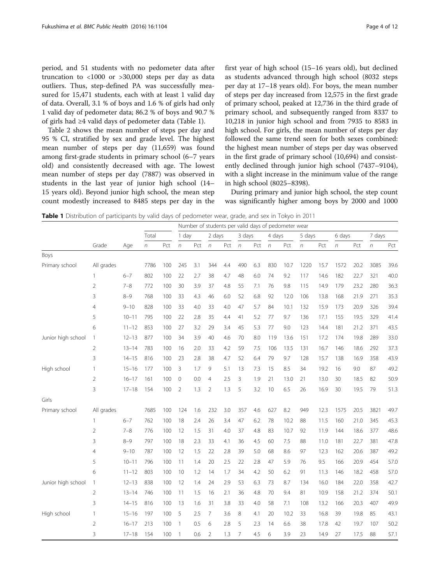period, and 51 students with no pedometer data after truncation to <1000 or >30,000 steps per day as data outliers. Thus, step-defined PA was successfully measured for 15,471 students, each with at least 1 valid day of data. Overall, 3.1 % of boys and 1.6 % of girls had only 1 valid day of pedometer data; 86.2 % of boys and 90.7 % of girls had ≥4 valid days of pedometer data (Table 1).

Table [2](#page-4-0) shows the mean number of steps per day and 95 % CI, stratified by sex and grade level. The highest mean number of steps per day (11,659) was found among first-grade students in primary school (6–7 years old) and consistently decreased with age. The lowest mean number of steps per day (7887) was observed in students in the last year of junior high school (14– 15 years old). Beyond junior high school, the mean step count modestly increased to 8485 steps per day in the first year of high school (15–16 years old), but declined as students advanced through high school (8032 steps per day at 17–18 years old). For boys, the mean number of steps per day increased from 12,575 in the first grade of primary school, peaked at 12,736 in the third grade of primary school, and subsequently ranged from 8337 to 10,218 in junior high school and from 7935 to 8583 in high school. For girls, the mean number of steps per day followed the same trend seen for both sexes combined: the highest mean number of steps per day was observed in the first grade of primary school (10,694) and consistently declined through junior high school (7437–9104), with a slight increase in the minimum value of the range in high school (8025–8398).

During primary and junior high school, the step count was significantly higher among boys by 2000 and 1000

Table 1 Distribution of participants by valid days of pedometer wear, grade, and sex in Tokyo in 2011

|                    |                |           |       |     | Number of students per valid days of pedometer wear |     |                |     |                |     |            |      |            |      |            |      |        |      |
|--------------------|----------------|-----------|-------|-----|-----------------------------------------------------|-----|----------------|-----|----------------|-----|------------|------|------------|------|------------|------|--------|------|
|                    |                |           | Total |     | 1 day                                               |     | 2 days         |     | 3 days         |     | 4 days     |      | 5 days     |      | 6 days     |      | 7 days |      |
|                    | Grade          | Age       | n     | Pct | $\sqrt{n}$                                          | Pct | $\sqrt{n}$     | Pct | $\sqrt{n}$     | Pct | $\sqrt{n}$ | Pct  | $\sqrt{n}$ | Pct  | $\sqrt{n}$ | Pct  | n      | Pct  |
| Boys               |                |           |       |     |                                                     |     |                |     |                |     |            |      |            |      |            |      |        |      |
| Primary school     | All grades     |           | 7786  | 100 | 245                                                 | 3.1 | 344            | 4.4 | 490            | 6.3 | 830        | 10.7 | 1220       | 15.7 | 1572       | 20.2 | 3085   | 39.6 |
|                    | 1              | $6 - 7$   | 802   | 100 | 22                                                  | 2.7 | 38             | 4.7 | 48             | 6.0 | 74         | 9.2  | 117        | 14.6 | 182        | 22.7 | 321    | 40.0 |
|                    | $\overline{2}$ | $7 - 8$   | 772   | 100 | 30                                                  | 3.9 | 37             | 4.8 | 55             | 7.1 | 76         | 9.8  | 115        | 14.9 | 179        | 23.2 | 280    | 36.3 |
|                    | 3              | $8 - 9$   | 768   | 100 | 33                                                  | 4.3 | 46             | 6.0 | 52             | 6.8 | 92         | 12.0 | 106        | 13.8 | 168        | 21.9 | 271    | 35.3 |
|                    | 4              | $9 - 10$  | 828   | 100 | 33                                                  | 4.0 | 33             | 4.0 | 47             | 5.7 | 84         | 10.1 | 132        | 15.9 | 173        | 20.9 | 326    | 39.4 |
|                    | 5              | $10 - 11$ | 795   | 100 | 22                                                  | 2.8 | 35             | 4.4 | 41             | 5.2 | 77         | 9.7  | 136        | 17.1 | 155        | 19.5 | 329    | 41.4 |
|                    | 6              | $11 - 12$ | 853   | 100 | 27                                                  | 3.2 | 29             | 3.4 | 45             | 5.3 | 77         | 9.0  | 123        | 14.4 | 181        | 21.2 | 371    | 43.5 |
| Junior high school | $\mathbf{1}$   | $12 - 13$ | 877   | 100 | 34                                                  | 3.9 | 40             | 4.6 | 70             | 8.0 | 119        | 13.6 | 151        | 17.2 | 174        | 19.8 | 289    | 33.0 |
|                    | $\overline{2}$ | $13 - 14$ | 783   | 100 | 16                                                  | 2.0 | 33             | 4.2 | 59             | 7.5 | 106        | 13.5 | 131        | 16.7 | 146        | 18.6 | 292    | 37.3 |
|                    | 3              | $14 - 15$ | 816   | 100 | 23                                                  | 2.8 | 38             | 4.7 | 52             | 6.4 | 79         | 9.7  | 128        | 15.7 | 138        | 16.9 | 358    | 43.9 |
| High school        | 1              | $15 - 16$ | 177   | 100 | 3                                                   | 1.7 | 9              | 5.1 | 13             | 7.3 | 15         | 8.5  | 34         | 19.2 | 16         | 9.0  | 87     | 49.2 |
|                    | $\overline{2}$ | $16 - 17$ | 161   | 100 | $\mathbf 0$                                         | 0.0 | $\overline{4}$ | 2.5 | 3              | 1.9 | 21         | 13.0 | 21         | 13.0 | 30         | 18.5 | 82     | 50.9 |
|                    | 3              | $17 - 18$ | 154   | 100 | $\overline{2}$                                      | 1.3 | $\overline{2}$ | 1.3 | 5              | 3.2 | 10         | 6.5  | 26         | 16.9 | 30         | 19.5 | 79     | 51.3 |
| Girls              |                |           |       |     |                                                     |     |                |     |                |     |            |      |            |      |            |      |        |      |
| Primary school     | All grades     |           | 7685  | 100 | 124                                                 | 1.6 | 232            | 3.0 | 357            | 4.6 | 627        | 8.2  | 949        | 12.3 | 1575       | 20.5 | 3821   | 49.7 |
|                    | 1              | $6 - 7$   | 762   | 100 | 18                                                  | 2.4 | 26             | 3.4 | 47             | 6.2 | 78         | 10.2 | 88         | 11.5 | 160        | 21.0 | 345    | 45.3 |
|                    | $\overline{2}$ | $7 - 8$   | 776   | 100 | 12                                                  | 1.5 | 31             | 4.0 | 37             | 4.8 | 83         | 10.7 | 92         | 11.9 | 144        | 18.6 | 377    | 48.6 |
|                    | 3              | $8 - 9$   | 797   | 100 | 18                                                  | 2.3 | 33             | 4.1 | 36             | 4.5 | 60         | 7.5  | 88         | 11.0 | 181        | 22.7 | 381    | 47.8 |
|                    | $\overline{4}$ | $9 - 10$  | 787   | 100 | 12                                                  | 1.5 | 22             | 2.8 | 39             | 5.0 | 68         | 8.6  | 97         | 12.3 | 162        | 20.6 | 387    | 49.2 |
|                    | 5              | $10 - 11$ | 796   | 100 | 11                                                  | 1.4 | 20             | 2.5 | 22             | 2.8 | 47         | 5.9  | 76         | 9.5  | 166        | 20.9 | 454    | 57.0 |
|                    | 6              | $11 - 12$ | 803   | 100 | 10                                                  | 1.2 | 14             | 1.7 | 34             | 4.2 | 50         | 6.2  | 91         | 11.3 | 146        | 18.2 | 458    | 57.0 |
| Junior high school | $\mathbf{1}$   | $12 - 13$ | 838   | 100 | 12                                                  | 1.4 | 24             | 2.9 | 53             | 6.3 | 73         | 8.7  | 134        | 16.0 | 184        | 22.0 | 358    | 42.7 |
|                    | $\overline{2}$ | $13 - 14$ | 746   | 100 | 11                                                  | 1.5 | 16             | 2.1 | 36             | 4.8 | 70         | 9.4  | 81         | 10.9 | 158        | 21.2 | 374    | 50.1 |
|                    | 3              | $14 - 15$ | 816   | 100 | 13                                                  | 1.6 | 31             | 3.8 | 33             | 4.0 | 58         | 7.1  | 108        | 13.2 | 166        | 20.3 | 407    | 49.9 |
| High school        | 1              | $15 - 16$ | 197   | 100 | 5                                                   | 2.5 | 7              | 3.6 | 8              | 4.1 | 20         | 10.2 | 33         | 16.8 | 39         | 19.8 | 85     | 43.1 |
|                    | $\overline{2}$ | $16 - 17$ | 213   | 100 | 1                                                   | 0.5 | 6              | 2.8 | 5              | 2.3 | 14         | 6.6  | 38         | 17.8 | 42         | 19.7 | 107    | 50.2 |
|                    | 3              | $17 - 18$ | 154   | 100 | 1                                                   | 0.6 | $\mathfrak{D}$ | 1.3 | $\overline{7}$ | 4.5 | 6          | 3.9  | 23         | 14.9 | 27         | 17.5 | 88     | 57.1 |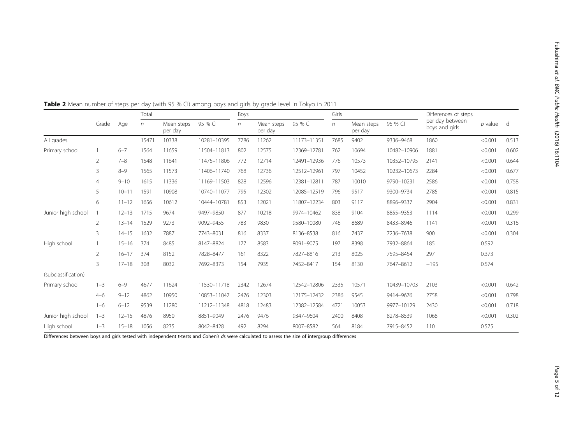|                     |                |           | Total  |                       |             | Boys |                       |             | Girls |                       |             | Differences of steps              |           |       |
|---------------------|----------------|-----------|--------|-----------------------|-------------|------|-----------------------|-------------|-------|-----------------------|-------------|-----------------------------------|-----------|-------|
|                     | Grade          | Age       | $\eta$ | Mean steps<br>per day | 95 % CI     | n    | Mean steps<br>per day | 95 % CI     | n     | Mean steps<br>per day | 95 % CI     | per day between<br>boys and girls | $p$ value | d     |
| All grades          |                |           | 15471  | 10338                 | 10281-10395 | 7786 | 11262                 | 11173-11351 | 7685  | 9402                  | 9336-9468   | 1860                              | < 0.001   | 0.513 |
| Primary school      |                | $6 - 7$   | 1564   | 11659                 | 11504-11813 | 802  | 12575                 | 12369-12781 | 762   | 10694                 | 10482-10906 | 1881                              | < 0.001   | 0.602 |
|                     | $\overline{2}$ | $7 - 8$   | 1548   | 11641                 | 11475-11806 | 772  | 12714                 | 12491-12936 | 776   | 10573                 | 10352-10795 | 2141                              | < 0.001   | 0.644 |
|                     | 3              | $8 - 9$   | 1565   | 11573                 | 11406-11740 | 768  | 12736                 | 12512-12961 | 797   | 10452                 | 10232-10673 | 2284                              | < 0.001   | 0.677 |
|                     | $\overline{4}$ | $9 - 10$  | 1615   | 11336                 | 11169-11503 | 828  | 12596                 | 12381-12811 | 787   | 10010                 | 9790-10231  | 2586                              | < 0.001   | 0.758 |
|                     | 5              | $10 - 11$ | 1591   | 10908                 | 10740-11077 | 795  | 12302                 | 12085-12519 | 796   | 9517                  | 9300-9734   | 2785                              | < 0.001   | 0.815 |
|                     | 6              | $11 - 12$ | 1656   | 10612                 | 10444-10781 | 853  | 12021                 | 11807-12234 | 803   | 9117                  | 8896-9337   | 2904                              | < 0.001   | 0.831 |
| Junior high school  |                | $12 - 13$ | 1715   | 9674                  | 9497-9850   | 877  | 10218                 | 9974-10462  | 838   | 9104                  | 8855-9353   | 1114                              | < 0.001   | 0.299 |
|                     | 2              | $13 - 14$ | 1529   | 9273                  | 9092-9455   | 783  | 9830                  | 9580-10080  | 746   | 8689                  | 8433-8946   | 1141                              | < 0.001   | 0.316 |
|                     | 3              | $14 - 15$ | 1632   | 7887                  | 7743-8031   | 816  | 8337                  | 8136-8538   | 816   | 7437                  | 7236-7638   | 900                               | < 0.001   | 0.304 |
| High school         |                | $15 - 16$ | 374    | 8485                  | 8147-8824   | 177  | 8583                  | 8091-9075   | 197   | 8398                  | 7932-8864   | 185                               | 0.592     |       |
|                     | $\overline{2}$ | $16 - 17$ | 374    | 8152                  | 7828-8477   | 161  | 8322                  | 7827-8816   | 213   | 8025                  | 7595-8454   | 297                               | 0.373     |       |
|                     | 3              | $17 - 18$ | 308    | 8032                  | 7692-8373   | 154  | 7935                  | 7452-8417   | 154   | 8130                  | 7647-8612   | $-195$                            | 0.574     |       |
| (subclassification) |                |           |        |                       |             |      |                       |             |       |                       |             |                                   |           |       |
| Primary school      | $1 - 3$        | $6 - 9$   | 4677   | 11624                 | 11530-11718 | 2342 | 12674                 | 12542-12806 | 2335  | 10571                 | 10439-10703 | 2103                              | < 0.001   | 0.642 |
|                     | $4 - 6$        | $9 - 12$  | 4862   | 10950                 | 10853-11047 | 2476 | 12303                 | 12175-12432 | 2386  | 9545                  | 9414-9676   | 2758                              | < 0.001   | 0.798 |
|                     | $1 - 6$        | $6 - 12$  | 9539   | 11280                 | 11212-11348 | 4818 | 12483                 | 12382-12584 | 4721  | 10053                 | 9977-10129  | 2430                              | < 0.001   | 0.718 |
| Junior high school  | $1 - 3$        | $12 - 15$ | 4876   | 8950                  | 8851-9049   | 2476 | 9476                  | 9347-9604   | 2400  | 8408                  | 8278-8539   | 1068                              | < 0.001   | 0.302 |
| High school         | $1 - 3$        | $15 - 18$ | 1056   | 8235                  | 8042-8428   | 492  | 8294                  | 8007-8582   | 564   | 8184                  | 7915-8452   | 110                               | 0.575     |       |

<span id="page-4-0"></span>Table 2 Mean number of steps per day (with 95 % CI) among boys and girls by grade level in Tokyo in 2011

Differences between boys and girls tested with independent t-tests and Cohen's ds were calculated to assess the size of intergroup differences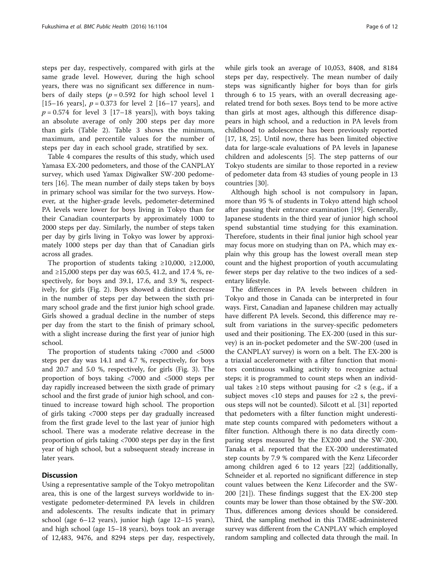steps per day, respectively, compared with girls at the same grade level. However, during the high school years, there was no significant sex difference in numbers of daily steps ( $p = 0.592$  for high school level 1 [15–16 years],  $p = 0.373$  for level 2 [16–17 years], and  $p = 0.574$  for level 3 [17–18 years]), with boys taking an absolute average of only 200 steps per day more than girls (Table [2](#page-4-0)). Table [3](#page-6-0) shows the minimum, maximum, and percentile values for the number of steps per day in each school grade, stratified by sex.

Table [4](#page-8-0) compares the results of this study, which used Yamasa EX-200 pedometers, and those of the CANPLAY survey, which used Yamax Digiwalker SW-200 pedometers [\[16\]](#page-11-0). The mean number of daily steps taken by boys in primary school was similar for the two surveys. However, at the higher-grade levels, pedometer-determined PA levels were lower for boys living in Tokyo than for their Canadian counterparts by approximately 1000 to 2000 steps per day. Similarly, the number of steps taken per day by girls living in Tokyo was lower by approximately 1000 steps per day than that of Canadian girls across all grades.

The proportion of students taking  $\geq 10,000$ ,  $\geq 12,000$ , and  $\geq$ 15,000 steps per day was 60.5, 41.2, and 17.4 %, respectively, for boys and 39.1, 17.6, and 3.9 %, respectively, for girls (Fig. [2](#page-9-0)). Boys showed a distinct decrease in the number of steps per day between the sixth primary school grade and the first junior high school grade. Girls showed a gradual decline in the number of steps per day from the start to the finish of primary school, with a slight increase during the first year of junior high school.

The proportion of students taking <7000 and <5000 steps per day was 14.1 and 4.7 %, respectively, for boys and 20.7 and 5.0 %, respectively, for girls (Fig. [3\)](#page-9-0). The proportion of boys taking <7000 and <5000 steps per day rapidly increased between the sixth grade of primary school and the first grade of junior high school, and continued to increase toward high school. The proportion of girls taking <7000 steps per day gradually increased from the first grade level to the last year of junior high school. There was a moderate relative decrease in the proportion of girls taking <7000 steps per day in the first year of high school, but a subsequent steady increase in later years.

#### **Discussion**

Using a representative sample of the Tokyo metropolitan area, this is one of the largest surveys worldwide to investigate pedometer-determined PA levels in children and adolescents. The results indicate that in primary school (age 6–12 years), junior high (age 12–15 years), and high school (age 15–18 years), boys took an average of 12,483, 9476, and 8294 steps per day, respectively, while girls took an average of 10,053, 8408, and 8184 steps per day, respectively. The mean number of daily steps was significantly higher for boys than for girls through 6 to 15 years, with an overall decreasing agerelated trend for both sexes. Boys tend to be more active than girls at most ages, although this difference disappears in high school, and a reduction in PA levels from childhood to adolescence has been previously reported [[17, 18](#page-11-0), [25\]](#page-11-0). Until now, there has been limited objective data for large-scale evaluations of PA levels in Japanese children and adolescents [\[5\]](#page-10-0). The step patterns of our Tokyo students are similar to those reported in a review of pedometer data from 43 studies of young people in 13 countries [[30](#page-11-0)].

Although high school is not compulsory in Japan, more than 95 % of students in Tokyo attend high school after passing their entrance examination [[19\]](#page-11-0). Generally, Japanese students in the third year of junior high school spend substantial time studying for this examination. Therefore, students in their final junior high school year may focus more on studying than on PA, which may explain why this group has the lowest overall mean step count and the highest proportion of youth accumulating fewer steps per day relative to the two indices of a sedentary lifestyle.

The differences in PA levels between children in Tokyo and those in Canada can be interpreted in four ways. First, Canadian and Japanese children may actually have different PA levels. Second, this difference may result from variations in the survey-specific pedometers used and their positioning. The EX-200 (used in this survey) is an in-pocket pedometer and the SW-200 (used in the CANPLAY survey) is worn on a belt. The EX-200 is a triaxial accelerometer with a filter function that monitors continuous walking activity to recognize actual steps; it is programmed to count steps when an individual takes  $\geq 10$  steps without pausing for  $\lt 2$  s (e.g., if a subject moves <10 steps and pauses for  $\geq 2$  s, the previous steps will not be counted). Silcott et al. [[31\]](#page-11-0) reported that pedometers with a filter function might underestimate step counts compared with pedometers without a filter function. Although there is no data directly comparing steps measured by the EX200 and the SW-200, Tanaka et al. reported that the EX-200 underestimated step counts by 7.9 % compared with the Kenz Lifecorder among children aged 6 to 12 years [[22](#page-11-0)] (additionally, Schneider et al. reported no significant difference in step count values between the Kenz Lifecorder and the SW-200 [[21\]](#page-11-0)). These findings suggest that the EX-200 step counts may be lower than those obtained by the SW-200. Thus, differences among devices should be considered. Third, the sampling method in this TMBE-administered survey was different from the CANPLAY which employed random sampling and collected data through the mail. In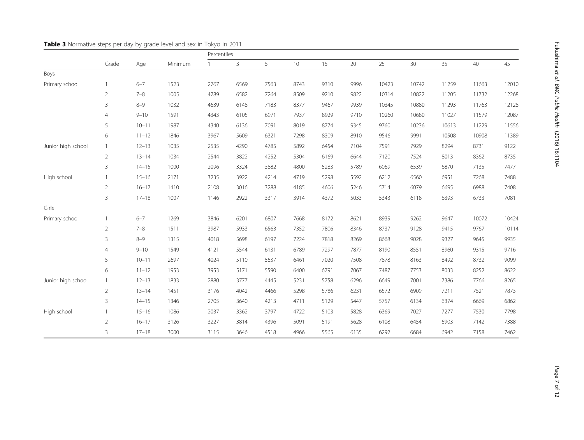|                    | Grade          |           |         | Percentiles  |              |      |      |      |      |       |       |       |       |       |
|--------------------|----------------|-----------|---------|--------------|--------------|------|------|------|------|-------|-------|-------|-------|-------|
|                    |                | Age       | Minimum | $\mathbf{1}$ | $\mathbf{3}$ | 5    | 10   | 15   | 20   | 25    | 30    | 35    | 40    | 45    |
| Boys               |                |           |         |              |              |      |      |      |      |       |       |       |       |       |
| Primary school     | 1              | $6 - 7$   | 1523    | 2767         | 6569         | 7563 | 8743 | 9310 | 9996 | 10423 | 10742 | 11259 | 11663 | 12010 |
|                    | $\overline{2}$ | $7 - 8$   | 1005    | 4789         | 6582         | 7264 | 8509 | 9210 | 9822 | 10314 | 10822 | 11205 | 11732 | 12268 |
|                    | 3              | $8 - 9$   | 1032    | 4639         | 6148         | 7183 | 8377 | 9467 | 9939 | 10345 | 10880 | 11293 | 11763 | 12128 |
|                    | $\overline{4}$ | $9 - 10$  | 1591    | 4343         | 6105         | 6971 | 7937 | 8929 | 9710 | 10260 | 10680 | 11027 | 11579 | 12087 |
|                    | 5              | $10 - 11$ | 1987    | 4340         | 6136         | 7091 | 8019 | 8774 | 9345 | 9760  | 10236 | 10613 | 11229 | 11556 |
|                    | 6              | $11 - 12$ | 1846    | 3967         | 5609         | 6321 | 7298 | 8309 | 8910 | 9546  | 9991  | 10508 | 10908 | 11389 |
| Junior high school | $\mathbf{1}$   | $12 - 13$ | 1035    | 2535         | 4290         | 4785 | 5892 | 6454 | 7104 | 7591  | 7929  | 8294  | 8731  | 9122  |
|                    | $\overline{2}$ | $13 - 14$ | 1034    | 2544         | 3822         | 4252 | 5304 | 6169 | 6644 | 7120  | 7524  | 8013  | 8362  | 8735  |
|                    | $\overline{3}$ | $14 - 15$ | 1000    | 2096         | 3324         | 3882 | 4800 | 5283 | 5789 | 6069  | 6539  | 6870  | 7135  | 7477  |
| High school        | $\mathbf{1}$   | $15 - 16$ | 2171    | 3235         | 3922         | 4214 | 4719 | 5298 | 5592 | 6212  | 6560  | 6951  | 7268  | 7488  |
|                    | $\overline{2}$ | $16 - 17$ | 1410    | 2108         | 3016         | 3288 | 4185 | 4606 | 5246 | 5714  | 6079  | 6695  | 6988  | 7408  |
|                    | 3              | $17 - 18$ | 1007    | 1146         | 2922         | 3317 | 3914 | 4372 | 5033 | 5343  | 6118  | 6393  | 6733  | 7081  |
| Girls              |                |           |         |              |              |      |      |      |      |       |       |       |       |       |
| Primary school     | $\mathbf{1}$   | $6 - 7$   | 1269    | 3846         | 6201         | 6807 | 7668 | 8172 | 8621 | 8939  | 9262  | 9647  | 10072 | 10424 |
|                    | $\overline{2}$ | $7 - 8$   | 1511    | 3987         | 5933         | 6563 | 7352 | 7806 | 8346 | 8737  | 9128  | 9415  | 9767  | 10114 |
|                    | 3              | $8 - 9$   | 1315    | 4018         | 5698         | 6197 | 7224 | 7818 | 8269 | 8668  | 9028  | 9327  | 9645  | 9935  |
|                    | $\overline{4}$ | $9 - 10$  | 1549    | 4121         | 5544         | 6131 | 6789 | 7297 | 7877 | 8190  | 8551  | 8960  | 9315  | 9716  |
|                    | 5              | $10 - 11$ | 2697    | 4024         | 5110         | 5637 | 6461 | 7020 | 7508 | 7878  | 8163  | 8492  | 8732  | 9099  |
|                    | 6              | $11 - 12$ | 1953    | 3953         | 5171         | 5590 | 6400 | 6791 | 7067 | 7487  | 7753  | 8033  | 8252  | 8622  |
| Junior high school | $\mathbf{1}$   | $12 - 13$ | 1833    | 2880         | 3777         | 4445 | 5231 | 5758 | 6296 | 6649  | 7001  | 7386  | 7766  | 8265  |
|                    | $\overline{2}$ | $13 - 14$ | 1451    | 3176         | 4042         | 4466 | 5298 | 5786 | 6231 | 6572  | 6909  | 7211  | 7521  | 7873  |
|                    | $\overline{3}$ | $14 - 15$ | 1346    | 2705         | 3640         | 4213 | 4711 | 5129 | 5447 | 5757  | 6134  | 6374  | 6669  | 6862  |
| High school        | $\mathbf{1}$   | $15 - 16$ | 1086    | 2037         | 3362         | 3797 | 4722 | 5103 | 5828 | 6369  | 7027  | 7277  | 7530  | 7798  |
|                    | $\overline{2}$ | $16 - 17$ | 3126    | 3227         | 3814         | 4396 | 5091 | 5191 | 5628 | 6108  | 6454  | 6903  | 7142  | 7388  |
|                    | $\overline{3}$ | $17 - 18$ | 3000    | 3115         | 3646         | 4518 | 4966 | 5565 | 6135 | 6292  | 6684  | 6942  | 7158  | 7462  |

<span id="page-6-0"></span>Table 3 Normative steps per day by grade level and sex in Tokyo in 2011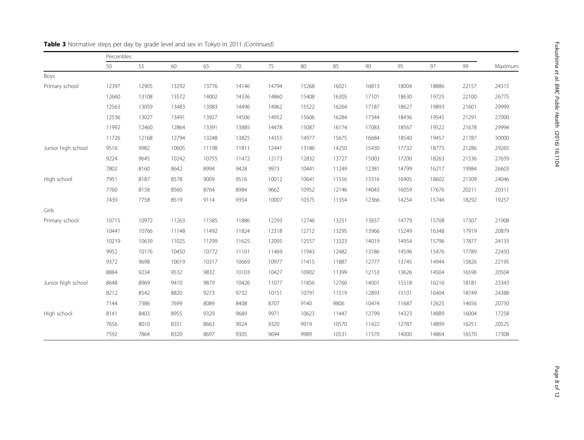|                    | Percentiles |       |       |       |       |       |       |       |       |       |       |       |         |
|--------------------|-------------|-------|-------|-------|-------|-------|-------|-------|-------|-------|-------|-------|---------|
|                    | 50          | 55    | 60    | 65    | 70    | 75    | 80    | 85    | 90    | 95    | 97    | 99    | Maximum |
| Boys               |             |       |       |       |       |       |       |       |       |       |       |       |         |
| Primary school     | 12397       | 12905 | 13292 | 13776 | 14146 | 14794 | 15268 | 16021 | 16813 | 18004 | 18886 | 22157 | 24315   |
|                    | 12660       | 13108 | 13572 | 14002 | 14336 | 14860 | 15408 | 16305 | 17101 | 18630 | 19725 | 22100 | 26775   |
|                    | 12563       | 13059 | 13483 | 13983 | 14496 | 14962 | 15522 | 16264 | 17187 | 18627 | 19893 | 21601 | 29999   |
|                    | 12536       | 13027 | 13491 | 13927 | 14506 | 14952 | 15606 | 16284 | 17344 | 18436 | 19545 | 21291 | 27000   |
|                    | 11992       | 12460 | 12864 | 13391 | 13885 | 14478 | 15087 | 16174 | 17083 | 18567 | 19522 | 21678 | 29994   |
|                    | 11726       | 12168 | 12794 | 13248 | 13825 | 14355 | 14977 | 15675 | 16684 | 18540 | 19457 | 21787 | 30000   |
| Junior high school | 9516        | 9982  | 10605 | 11198 | 11811 | 12441 | 13186 | 14250 | 15430 | 17732 | 18775 | 21286 | 29265   |
|                    | 9224        | 9645  | 10242 | 10755 | 11472 | 12173 | 12832 | 13727 | 15003 | 17200 | 18263 | 21536 | 27659   |
|                    | 7802        | 8160  | 8642  | 8994  | 9428  | 9973  | 10441 | 11249 | 12381 | 14799 | 16217 | 19984 | 26603   |
| High school        | 7951        | 8187  | 8578  | 9009  | 9516  | 10012 | 10641 | 11556 | 13316 | 16905 | 18602 | 21309 | 24046   |
|                    | 7760        | 8158  | 8560  | 8764  | 8984  | 9662  | 10952 | 12146 | 14043 | 16059 | 17676 | 20211 | 20311   |
|                    | 7439        | 7758  | 8519  | 9114  | 9354  | 10007 | 10375 | 11354 | 12366 | 14254 | 15746 | 18292 | 19257   |
| Girls              |             |       |       |       |       |       |       |       |       |       |       |       |         |
| Primary school     | 10715       | 10972 | 11263 | 11585 | 11886 | 12293 | 12746 | 13251 | 13837 | 14779 | 15708 | 17307 | 21908   |
|                    | 10441       | 10766 | 11148 | 11492 | 11824 | 12318 | 12712 | 13295 | 13966 | 15249 | 16348 | 17919 | 20879   |
|                    | 10219       | 10639 | 11025 | 11299 | 11625 | 12095 | 12557 | 13323 | 14019 | 14954 | 15796 | 17877 | 24133   |
|                    | 9952        | 10176 | 10450 | 10772 | 11101 | 11469 | 11943 | 12482 | 13186 | 14596 | 15476 | 17789 | 22450   |
|                    | 9372        | 9698  | 10019 | 10317 | 10669 | 10977 | 11415 | 11887 | 12777 | 13745 | 14944 | 15826 | 22195   |
|                    | 8884        | 9234  | 9532  | 9832  | 10103 | 10427 | 10902 | 11399 | 12153 | 13626 | 14504 | 16596 | 20504   |
| Junior high school | 8648        | 8969  | 9410  | 9879  | 10426 | 11077 | 11856 | 12760 | 14001 | 15518 | 16216 | 18181 | 23343   |
|                    | 8212        | 8542  | 8820  | 9273  | 9732  | 10151 | 10791 | 11519 | 12893 | 15101 | 16404 | 18749 | 24388   |
|                    | 7144        | 7386  | 7699  | 8089  | 8408  | 8707  | 9140  | 9806  | 10474 | 11687 | 12625 | 14656 | 20730   |
| High school        | 8141        | 8403  | 8955  | 9329  | 9689  | 9971  | 10623 | 11447 | 12799 | 14323 | 14889 | 16004 | 17258   |
|                    | 7656        | 8010  | 8351  | 8663  | 9024  | 9320  | 9919  | 10570 | 11422 | 12787 | 14899 | 16251 | 20525   |
|                    | 7592        | 7864  | 8320  | 8697  | 9305  | 9694  | 9989  | 10531 | 11570 | 14000 | 14864 | 16570 | 17308   |

### Table 3 Normative steps per day by grade level and sex in Tokyo in 2011 (Continued)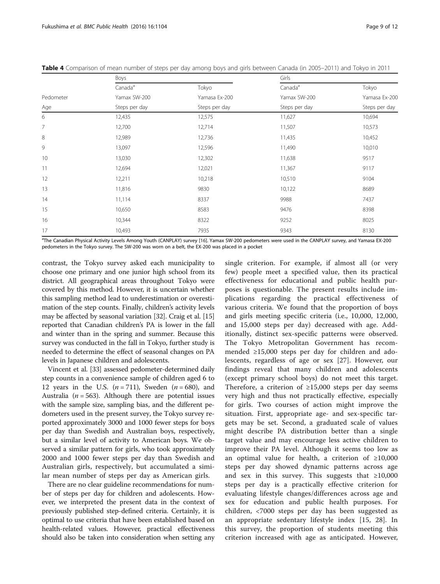|           | Boys                |               | Girls               |                                |  |  |  |  |
|-----------|---------------------|---------------|---------------------|--------------------------------|--|--|--|--|
|           | Canada <sup>a</sup> | Tokyo         | Canada <sup>a</sup> | Tokyo                          |  |  |  |  |
| Pedometer | Yamax SW-200        | Yamasa Ex-200 | Yamax SW-200        | Yamasa Ex-200<br>Steps per day |  |  |  |  |
| Age       | Steps per day       | Steps per day | Steps per day       |                                |  |  |  |  |
| 6         | 12,435              | 12,575        | 11,627              | 10,694                         |  |  |  |  |
| 7         | 12,700              | 12,714        | 11,507              | 10,573                         |  |  |  |  |
| 8         | 12,989              | 12,736        | 11,435              | 10,452                         |  |  |  |  |
| 9         | 13,097              | 12,596        | 11,490              | 10,010                         |  |  |  |  |
| 10        | 13,030              | 12,302        | 11,638              | 9517                           |  |  |  |  |
| 11        | 12,694              | 12,021        | 11,367              | 9117                           |  |  |  |  |
| 12        | 12,211              | 10,218        | 10,510              | 9104                           |  |  |  |  |
| 13        | 11,816              | 9830          | 10,122              | 8689                           |  |  |  |  |
| 14        | 11,114              | 8337          | 9988                | 7437                           |  |  |  |  |
| 15        | 10,650              | 8583          | 9476                | 8398                           |  |  |  |  |
| 16        | 10,344              | 8322          | 9252                | 8025                           |  |  |  |  |
| 17        | 10,493              | 7935          | 9343                | 8130                           |  |  |  |  |

<span id="page-8-0"></span>Table 4 Comparison of mean number of steps per day among boys and girls between Canada (in 2005–2011) and Tokyo in 2011

<sup>a</sup>The Canadian Physical Activity Levels Among Youth (CANPLAY) survey [\[16](#page-11-0)]. Yamax SW-200 pedometers were used in the CANPLAY survey, and Yamasa EX-200 pedometers in the Tokyo survey. The SW-200 was worn on a belt, the EX-200 was placed in a pocket

contrast, the Tokyo survey asked each municipality to choose one primary and one junior high school from its district. All geographical areas throughout Tokyo were covered by this method. However, it is uncertain whether this sampling method lead to underestimation or overestimation of the step counts. Finally, children's activity levels may be affected by seasonal variation [\[32\]](#page-11-0). Craig et al. [[15](#page-10-0)] reported that Canadian children's PA is lower in the fall and winter than in the spring and summer. Because this survey was conducted in the fall in Tokyo, further study is needed to determine the effect of seasonal changes on PA levels in Japanese children and adolescents.

Vincent et al. [[33](#page-11-0)] assessed pedometer-determined daily step counts in a convenience sample of children aged 6 to 12 years in the U.S.  $(n = 711)$ , Sweden  $(n = 680)$ , and Australia ( $n = 563$ ). Although there are potential issues with the sample size, sampling bias, and the different pedometers used in the present survey, the Tokyo survey reported approximately 3000 and 1000 fewer steps for boys per day than Swedish and Australian boys, respectively, but a similar level of activity to American boys. We observed a similar pattern for girls, who took approximately 2000 and 1000 fewer steps per day than Swedish and Australian girls, respectively, but accumulated a similar mean number of steps per day as American girls.

There are no clear guideline recommendations for number of steps per day for children and adolescents. However, we interpreted the present data in the context of previously published step-defined criteria. Certainly, it is optimal to use criteria that have been established based on health-related values. However, practical effectiveness should also be taken into consideration when setting any

single criterion. For example, if almost all (or very few) people meet a specified value, then its practical effectiveness for educational and public health purposes is questionable. The present results include implications regarding the practical effectiveness of various criteria. We found that the proportion of boys and girls meeting specific criteria (i.e., 10,000, 12,000, and 15,000 steps per day) decreased with age. Additionally, distinct sex-specific patterns were observed. The Tokyo Metropolitan Government has recommended ≥15,000 steps per day for children and adolescents, regardless of age or sex [[27\]](#page-11-0). However, our findings reveal that many children and adolescents (except primary school boys) do not meet this target. Therefore, a criterion of  $\geq 15,000$  steps per day seems very high and thus not practically effective, especially for girls. Two courses of action might improve the situation. First, appropriate age- and sex-specific targets may be set. Second, a graduated scale of values might describe PA distribution better than a single target value and may encourage less active children to improve their PA level. Although it seems too low as an optimal value for health, a criterion of ≥10,000 steps per day showed dynamic patterns across age and sex in this survey. This suggests that  $\geq 10,000$ steps per day is a practically effective criterion for evaluating lifestyle changes/differences across age and sex for education and public health purposes. For children, <7000 steps per day has been suggested as an appropriate sedentary lifestyle index [[15](#page-10-0), [28](#page-11-0)]. In this survey, the proportion of students meeting this criterion increased with age as anticipated. However,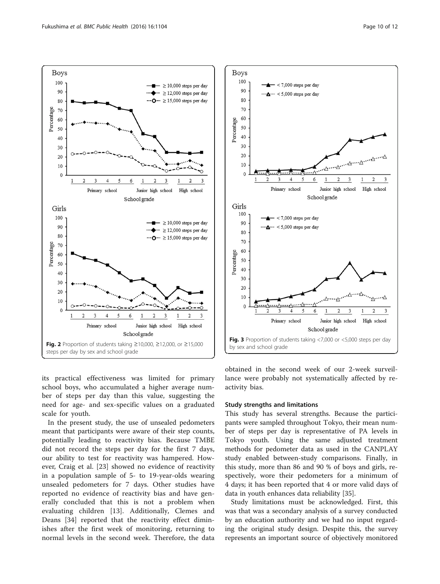<span id="page-9-0"></span>



its practical effectiveness was limited for primary school boys, who accumulated a higher average number of steps per day than this value, suggesting the need for age- and sex-specific values on a graduated scale for youth.

In the present study, the use of unsealed pedometers meant that participants were aware of their step counts, potentially leading to reactivity bias. Because TMBE did not record the steps per day for the first 7 days, our ability to test for reactivity was hampered. However, Craig et al. [[23\]](#page-11-0) showed no evidence of reactivity in a population sample of 5- to 19-year-olds wearing unsealed pedometers for 7 days. Other studies have reported no evidence of reactivity bias and have generally concluded that this is not a problem when evaluating children [\[13](#page-10-0)]. Additionally, Clemes and Deans [[34\]](#page-11-0) reported that the reactivity effect diminishes after the first week of monitoring, returning to normal levels in the second week. Therefore, the data

obtained in the second week of our 2-week surveillance were probably not systematically affected by reactivity bias.

#### Study strengths and limitations

This study has several strengths. Because the participants were sampled throughout Tokyo, their mean number of steps per day is representative of PA levels in Tokyo youth. Using the same adjusted treatment methods for pedometer data as used in the CANPLAY study enabled between-study comparisons. Finally, in this study, more than 86 and 90 % of boys and girls, respectively, wore their pedometers for a minimum of 4 days; it has been reported that 4 or more valid days of data in youth enhances data reliability [[35](#page-11-0)].

Study limitations must be acknowledged. First, this was that was a secondary analysis of a survey conducted by an education authority and we had no input regarding the original study design. Despite this, the survey represents an important source of objectively monitored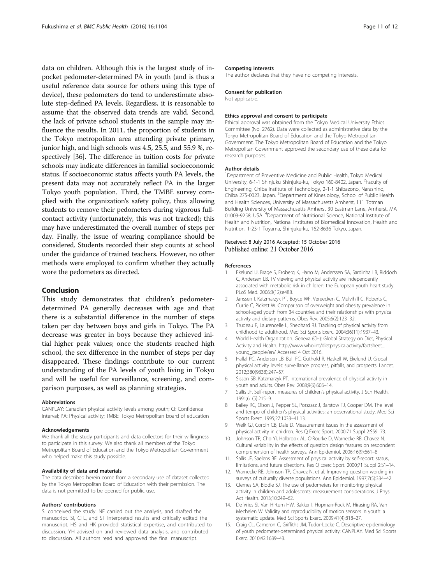<span id="page-10-0"></span>data on children. Although this is the largest study of inpocket pedometer-determined PA in youth (and is thus a useful reference data source for others using this type of device), these pedometers do tend to underestimate absolute step-defined PA levels. Regardless, it is reasonable to assume that the observed data trends are valid. Second, the lack of private school students in the sample may influence the results. In 2011, the proportion of students in the Tokyo metropolitan area attending private primary, junior high, and high schools was 4.5, 25.5, and 55.9 %, respectively [\[36\]](#page-11-0). The difference in tuition costs for private schools may indicate differences in familial socioeconomic status. If socioeconomic status affects youth PA levels, the present data may not accurately reflect PA in the larger Tokyo youth population. Third, the TMBE survey complied with the organization's safety policy, thus allowing students to remove their pedometers during vigorous fullcontact activity (unfortunately, this was not tracked); this may have underestimated the overall number of steps per day. Finally, the issue of wearing compliance should be considered. Students recorded their step counts at school under the guidance of trained teachers. However, no other methods were employed to confirm whether they actually wore the pedometers as directed.

#### Conclusion

This study demonstrates that children's pedometerdetermined PA generally decreases with age and that there is a substantial difference in the number of steps taken per day between boys and girls in Tokyo. The PA decrease was greater in boys because they achieved initial higher peak values; once the students reached high school, the sex difference in the number of steps per day disappeared. These findings contribute to our current understanding of the PA levels of youth living in Tokyo and will be useful for surveillance, screening, and comparison purposes, as well as planning strategies.

#### Abbreviations

CANPLAY: Canadian physical activity levels among youth; CI: Confidence interval; PA: Physical activity; TMBE: Tokyo Metropolitan board of education

#### Acknowledgements

We thank all the study participants and data collectors for their willingness to participate in this survey. We also thank all members of the Tokyo Metropolitan Board of Education and the Tokyo Metropolitan Government who helped make this study possible.

#### Availability of data and materials

The data described herein come from a secondary use of dataset collected by the Tokyo Metropolitan Board of Education with their permission. The data is not permitted to be opened for public use.

#### Authors' contributions

SI conceived the study. NF carried out the analysis, and drafted the manuscript. SI, CTL, and ST interpreted results and critically edited the manuscript. HS and HK provided statistical expertise, and contributed to discussion. YH advised on and reviewed data analysis, and contributed to discussion. All authors read and approved the final manuscript.

#### Competing interests

The author declares that they have no competing interests.

#### Consent for publication

Not applicable

#### Ethics approval and consent to participate

Ethical approval was obtained from the Tokyo Medical University Ethics Committee (No. 2762). Data were collected as administrative data by the Tokyo Metropolitan Board of Education and the Tokyo Metropolitan Government. The Tokyo Metropolitan Board of Education and the Tokyo Metropolitan Government approved the secondary use of these data for research purposes.

#### Author details

<sup>1</sup>Department of Preventive Medicine and Public Health, Tokyo Medical University, 6-1-1 Shinjuku Shinjuku-ku, Tokyo 160-8402, Japan. <sup>2</sup>Faculty of Engineering, Chiba Institute of Technology, 2-1-1 Shibazono, Narashino, Chiba 275-0023, Japan. <sup>3</sup>Department of Kinesiology, School of Public Health and Health Sciences, University of Massachusetts Amherst, 111 Totman Building University of Massachusetts Amherst 30 Eastman Lane, Amherst, MA 01003-9258, USA. <sup>4</sup>Department of Nutritional Science, National Institute of Health and Nutrition, National Institutes of Biomedical Innovation, Health and Nutrition, 1-23-1 Toyama, Shinjuku-ku, 162-8636 Tokyo, Japan.

## Received: 8 July 2016 Accepted: 15 October 2016

#### References

- Ekelund U, Brage S, Froberg K, Harro M, Anderssen SA, Sardinha LB, Riddoch C, Andersen LB. TV viewing and physical activity are independently associated with metabolic risk in children: the European youth heart study. PLoS Med. 2006;3(12):e488.
- 2. Janssen I, Katzmarzyk PT, Boyce WF, Vereecken C, Mulvihill C, Roberts C, Currie C, Pickett W. Comparison of overweight and obesity prevalence in school-aged youth from 34 countries and their relationships with physical activity and dietary patterns. Obes Rev. 2005;6(2):123–32.
- 3. Trudeau F, Laurencelle L, Shephard RJ. Tracking of physical activity from childhood to adulthood. Med Sci Sports Exerc. 2004;36(11):1937–43.
- 4. World Health Organization. Geneva (CH): Global Strategy on Diet, Physical Activity and Health. [http://www.who.int/dietphysicalactivity/factsheet\\_](http://www.who.int/dietphysicalactivity/factsheet_young_people/en/) [young\\_people/en/](http://www.who.int/dietphysicalactivity/factsheet_young_people/en/) Accessed 4 Oct 2016.
- 5. Hallal PC, Andersen LB, Bull FC, Guthold R, Haskell W, Ekelund U. Global physical activity levels: surveillance progress, pitfalls, and prospects. Lancet. 2012;380(9838):247–57.
- 6. Sisson SB, Katzmarzyk PT. International prevalence of physical activity in youth and adults. Obes Rev. 2008;9(6):606–14.
- 7. Sallis JF. Self-report measures of children's physical activity. J Sch Health. 1991;61(5):215–9.
- 8. Bailey RC, Olson J, Pepper SL, Porszasz J, Barstow TJ, Cooper DM. The level and tempo of children's physical activities: an observational study. Med Sci Sports Exerc. 1995;27:1033–41.13.
- 9. Welk GJ, Corbin CB, Dale D. Measurement issues in the assessment of physical activity in children. Res Q Exerc Sport. 2000;71 Suppl 2:S59–73.
- 10. Johnson TP, Cho YI, Holbrook AL, O'Rourke D, Warnecke RB, Chavez N. Cultural variability in the effects of question design features on respondent comprehension of health surveys. Ann Epidemiol. 2006;16(9):661–8.
- 11. Sallis JF, Saelens BE. Assessment of physical activity by self-report: status, limitations, and future directions. Res Q Exerc Sport. 2000;71 Suppl 2:S1–14.
- 12. Warnecke RB, Johnson TP, Chavez N, et al. Improving question wording in surveys of culturally diverse populations. Ann Epidemiol. 1997;7(5):334–42.
- 13. Clemes SA, Biddle SJ. The use of pedometers for monitoring physical activity in children and adolescents: measurement considerations. J Phys Act Health. 2013;10:249–62.
- 14. De Vries SI, Van Hirtum HW, Bakker I, Hopman-Rock M, Hirasing RA, Van Mechelen W. Validity and reproducibility of motion sensors in youth: a systematic update. Med Sci Sports Exerc. 2009;41(4):818–27.
- 15. Craig CL, Cameron C, Griffiths JM, Tudor-Locke C. Descriptive epidemiology of youth pedometer-determined physical activity: CANPLAY. Med Sci Sports Exerc. 2010;42:1639–43.